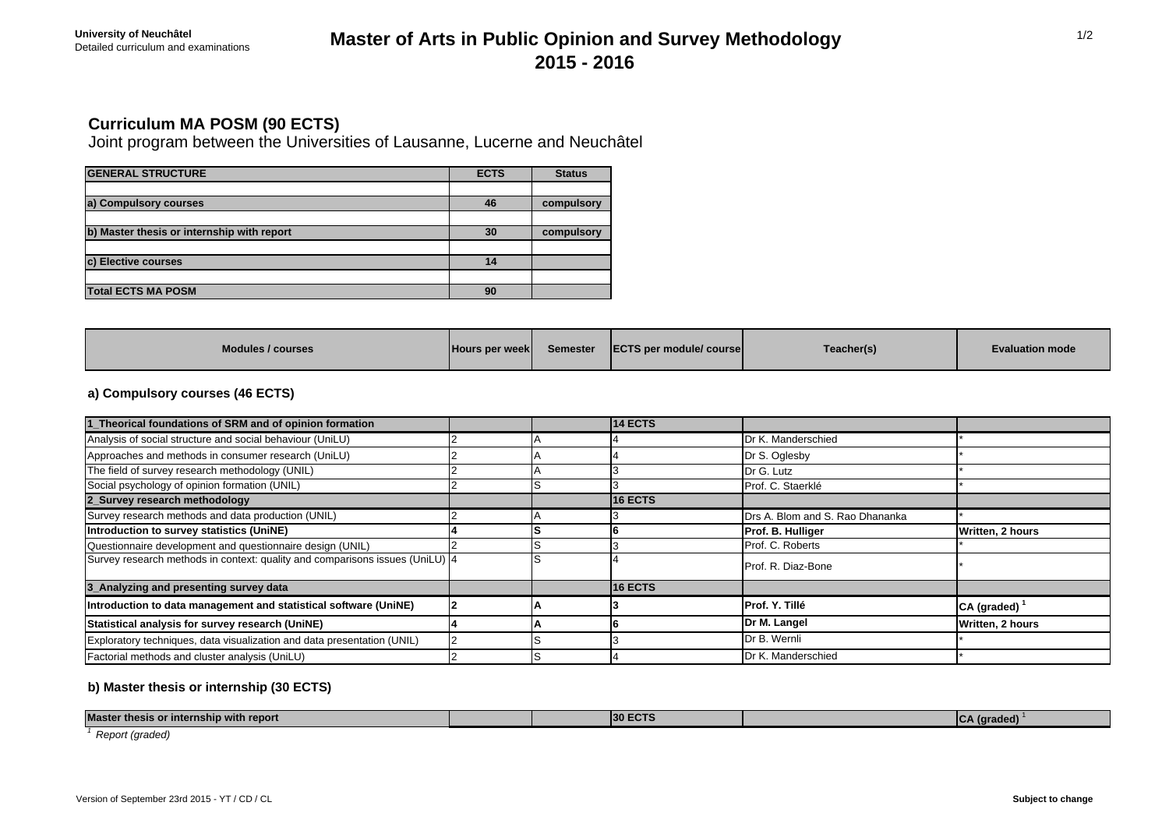## Detailed curriculum and examinations **Master of Arts in Public Opinion and Survey Methodology 2015 - 2016**

## **Curriculum MA POSM (90 ECTS)**

Joint program between the Universities of Lausanne, Lucerne and Neuchâtel

| <b>GENERAL STRUCTURE</b>                   | <b>ECTS</b> | <b>Status</b> |
|--------------------------------------------|-------------|---------------|
|                                            |             |               |
| a) Compulsory courses                      | 46          | compulsory    |
|                                            |             |               |
| b) Master thesis or internship with report | 30          | compulsory    |
|                                            |             |               |
| c) Elective courses                        | 14          |               |
|                                            |             |               |
| <b>Total ECTS MA POSM</b>                  | 90          |               |

## **a) Compulsory courses (46 ECTS)**

| 1_Theorical foundations of SRM and of opinion formation                      |  | 14 ECTS        |                                 |                            |
|------------------------------------------------------------------------------|--|----------------|---------------------------------|----------------------------|
| Analysis of social structure and social behaviour (UniLU)                    |  |                | Dr K. Manderschied              |                            |
| Approaches and methods in consumer research (UniLU)                          |  |                | Dr S. Oglesby                   |                            |
| The field of survey research methodology (UNIL)                              |  |                | Dr G. Lutz                      |                            |
| Social psychology of opinion formation (UNIL)                                |  |                | Prof. C. Staerklé               |                            |
| 2 Survey research methodology                                                |  | <b>16 ECTS</b> |                                 |                            |
| Survey research methods and data production (UNIL)                           |  |                | Drs A. Blom and S. Rao Dhananka |                            |
| Introduction to survey statistics (UniNE)                                    |  |                | Prof. B. Hulliger               | Written, 2 hours           |
| Questionnaire development and questionnaire design (UNIL)                    |  |                | Prof. C. Roberts                |                            |
| Survey research methods in context: quality and comparisons issues (UniLU) 4 |  |                | Prof. R. Diaz-Bone              |                            |
| 3_Analyzing and presenting survey data                                       |  | <b>16 ECTS</b> |                                 |                            |
| Introduction to data management and statistical software (UniNE)             |  |                | <b>Prof. Y. Tillé</b>           | $CA$ (graded) <sup>1</sup> |
| Statistical analysis for survey research (UniNE)                             |  |                | Dr M. Langel                    | Written, 2 hours           |
| Exploratory techniques, data visualization and data presentation (UNIL)      |  |                | Dr B. Wernli                    |                            |
| Factorial methods and cluster analysis (UniLU)                               |  |                | Dr K. Manderschied              |                            |

### **b) Master thesis or internship (30 ECTS)**

| <b>Master</b><br>up with report<br>, internsn<br>- 151 |  | 130 F | $\sim$<br>- 8888<br>.<br>. |  |
|--------------------------------------------------------|--|-------|----------------------------|--|
|                                                        |  |       |                            |  |

*1 Report (graded)*